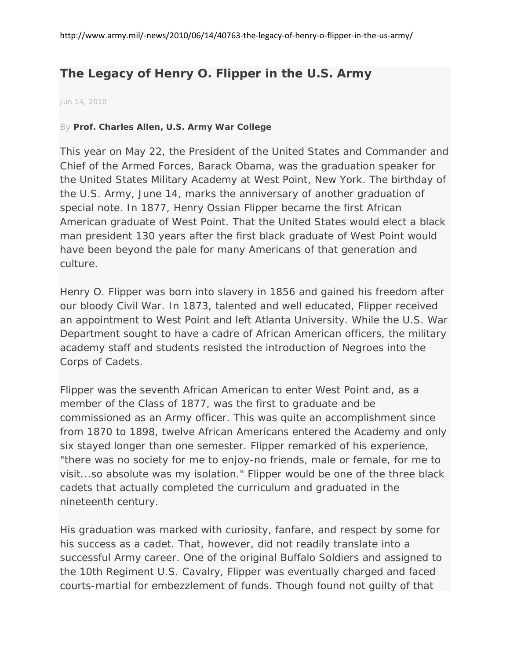## **The Legacy of Henry O. Flipper in the U.S. Army**

Jun 14, 2010

## By **[Prof. Charles Allen, U.S. Army War College](http://search.ahp.us.army.mil/search/articles/index.php?search=Prof+Charles+Allen+US+Army+War+College)**

This year on May 22, the President of the United States and Commander and Chief of the Armed Forces, Barack Obama, was the graduation speaker for the United States Military Academy at West Point, New York. The birthday of the U.S. Army, June 14, marks the anniversary of another graduation of special note. In 1877, Henry Ossian Flipper became the first African American graduate of West Point. That the United States would elect a black man president 130 years after the first black graduate of West Point would have been beyond the pale for many Americans of that generation and culture.

Henry O. Flipper was born into slavery in 1856 and gained his freedom after our bloody Civil War. In 1873, talented and well educated, Flipper received an appointment to West Point and left Atlanta University. While the U.S. War Department sought to have a cadre of African American officers, the military academy staff and students resisted the introduction of Negroes into the Corps of Cadets.

Flipper was the seventh African American to enter West Point and, as a member of the Class of 1877, was the first to graduate and be commissioned as an Army officer. This was quite an accomplishment since from 1870 to 1898, twelve African Americans entered the Academy and only six stayed longer than one semester. Flipper remarked of his experience, "there was no society for me to enjoy-no friends, male or female, for me to visit...so absolute was my isolation." Flipper would be one of the three black cadets that actually completed the curriculum and graduated in the nineteenth century.

His graduation was marked with curiosity, fanfare, and respect by some for his success as a cadet. That, however, did not readily translate into a successful Army career. One of the original Buffalo Soldiers and assigned to the 10th Regiment U.S. Cavalry, Flipper was eventually charged and faced courts-martial for embezzlement of funds. Though found not guilty of that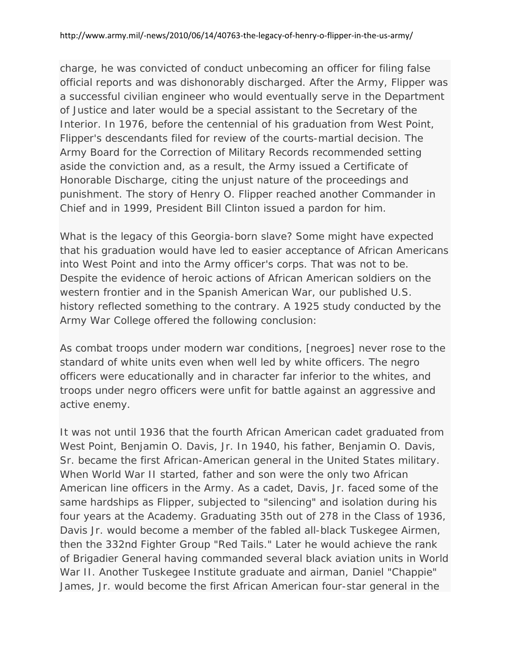charge, he was convicted of conduct unbecoming an officer for filing false official reports and was dishonorably discharged. After the Army, Flipper was a successful civilian engineer who would eventually serve in the Department of Justice and later would be a special assistant to the Secretary of the Interior. In 1976, before the centennial of his graduation from West Point, Flipper's descendants filed for review of the courts-martial decision. The Army Board for the Correction of Military Records recommended setting aside the conviction and, as a result, the Army issued a Certificate of Honorable Discharge, citing the unjust nature of the proceedings and punishment. The story of Henry O. Flipper reached another Commander in Chief and in 1999, President Bill Clinton issued a pardon for him.

What is the legacy of this Georgia-born slave? Some might have expected that his graduation would have led to easier acceptance of African Americans into West Point and into the Army officer's corps. That was not to be. Despite the evidence of heroic actions of African American soldiers on the western frontier and in the Spanish American War, our published U.S. history reflected something to the contrary. A 1925 study conducted by the Army War College offered the following conclusion:

As combat troops under modern war conditions, [negroes] never rose to the standard of white units even when well led by white officers. The negro officers were educationally and in character far inferior to the whites, and troops under negro officers were unfit for battle against an aggressive and active enemy.

It was not until 1936 that the fourth African American cadet graduated from West Point, Benjamin O. Davis, Jr. In 1940, his father, Benjamin O. Davis, Sr. became the first African-American general in the United States military. When World War II started, father and son were the only two African American line officers in the Army. As a cadet, Davis, Jr. faced some of the same hardships as Flipper, subjected to "silencing" and isolation during his four years at the Academy. Graduating 35th out of 278 in the Class of 1936, Davis Jr. would become a member of the fabled all-black Tuskegee Airmen, then the 332nd Fighter Group "Red Tails." Later he would achieve the rank of Brigadier General having commanded several black aviation units in World War II. Another Tuskegee Institute graduate and airman, Daniel "Chappie" James, Jr. would become the first African American four-star general in the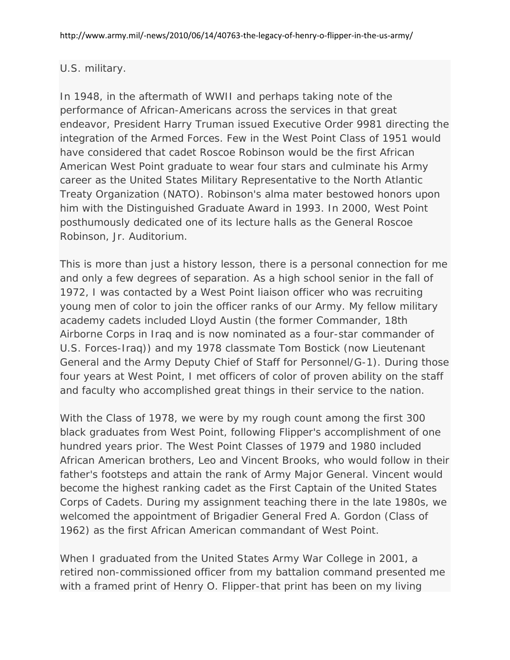## U.S. military.

In 1948, in the aftermath of WWII and perhaps taking note of the performance of African-Americans across the services in that great endeavor, President Harry Truman issued Executive Order 9981 directing the integration of the Armed Forces. Few in the West Point Class of 1951 would have considered that cadet Roscoe Robinson would be the first African American West Point graduate to wear four stars and culminate his Army career as the United States Military Representative to the North Atlantic Treaty Organization (NATO). Robinson's alma mater bestowed honors upon him with the Distinguished Graduate Award in 1993. In 2000, West Point posthumously dedicated one of its lecture halls as the General Roscoe Robinson, Jr. Auditorium.

This is more than just a history lesson, there is a personal connection for me and only a few degrees of separation. As a high school senior in the fall of 1972, I was contacted by a West Point liaison officer who was recruiting young men of color to join the officer ranks of our Army. My fellow military academy cadets included Lloyd Austin (the former Commander, 18th Airborne Corps in Iraq and is now nominated as a four-star commander of U.S. Forces-Iraq)) and my 1978 classmate Tom Bostick (now Lieutenant General and the Army Deputy Chief of Staff for Personnel/G-1). During those four years at West Point, I met officers of color of proven ability on the staff and faculty who accomplished great things in their service to the nation.

With the Class of 1978, we were by my rough count among the first 300 black graduates from West Point, following Flipper's accomplishment of one hundred years prior. The West Point Classes of 1979 and 1980 included African American brothers, Leo and Vincent Brooks, who would follow in their father's footsteps and attain the rank of Army Major General. Vincent would become the highest ranking cadet as the First Captain of the United States Corps of Cadets. During my assignment teaching there in the late 1980s, we welcomed the appointment of Brigadier General Fred A. Gordon (Class of 1962) as the first African American commandant of West Point.

When I graduated from the United States Army War College in 2001, a retired non-commissioned officer from my battalion command presented me with a framed print of Henry O. Flipper-that print has been on my living